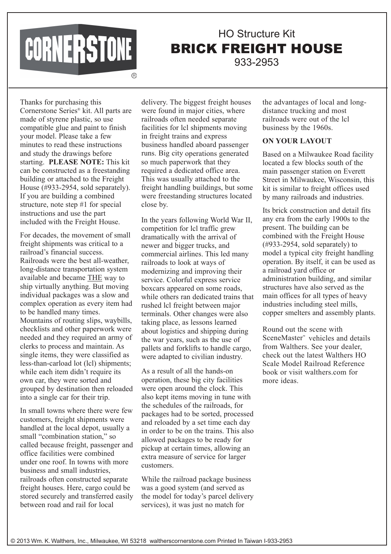## CORNERSTONE

## HO Structure Kit BRICK FREIGHT HOUSE 933-2953

Thanks for purchasing this Cornerstone Series® kit. All parts are made of styrene plastic, so use compatible glue and paint to finish your model. Please take a few minutes to read these instructions and study the drawings before starting. **PLEASE NOTE:** This kit can be constructed as a freestanding building or attached to the Freight House (#933-2954, sold separately). If you are building a combined structure, note step #1 for special instructions and use the part included with the Freight House.

For decades, the movement of small freight shipments was critical to a railroad's financial success. Railroads were the best all-weather, long-distance transportation system available and became THE way to ship virtually anything. But moving individual packages was a slow and complex operation as every item had to be handled many times. Mountains of routing slips, waybills, checklists and other paperwork were needed and they required an army of clerks to process and maintain. As single items, they were classified as less-than-carload lot (lcl) shipments; while each item didn't require its own car, they were sorted and grouped by destination then reloaded into a single car for their trip.

In small towns where there were few customers, freight shipments were handled at the local depot, usually a small "combination station," so called because freight, passenger and office facilities were combined under one roof. In towns with more business and small industries, railroads often constructed separate freight houses. Here, cargo could be stored securely and transferred easily between road and rail for local

delivery. The biggest freight houses were found in major cities, where railroads often needed separate facilities for lcl shipments moving in freight trains and express business handled aboard passenger runs. Big city operations generated so much paperwork that they required a dedicated office area. This was usually attached to the freight handling buildings, but some were freestanding structures located close by.

In the years following World War II, competition for lcl traffic grew dramatically with the arrival of newer and bigger trucks, and commercial airlines. This led many railroads to look at ways of modernizing and improving their service. Colorful express service boxcars appeared on some roads, while others ran dedicated trains that rushed lcl freight between major terminals. Other changes were also taking place, as lessons learned about logistics and shipping during the war years, such as the use of pallets and forklifts to handle cargo, were adapted to civilian industry.

As a result of all the hands-on operation, these big city facilities were open around the clock. This also kept items moving in tune with the schedules of the railroads, for packages had to be sorted, processed and reloaded by a set time each day in order to be on the trains. This also allowed packages to be ready for pickup at certain times, allowing an extra measure of service for larger customers.

While the railroad package business was a good system (and served as the model for today's parcel delivery services), it was just no match for

the advantages of local and longdistance trucking and most railroads were out of the lcl business by the 1960s.

## **ON YOUR LAYOUT**

Based on a Milwaukee Road facility located a few blocks south of the main passenger station on Everett Street in Milwaukee, Wisconsin, this kit is similar to freight offices used by many railroads and industries.

Its brick construction and detail fits any era from the early 1900s to the present. The building can be combined with the Freight House (#933-2954, sold separately) to model a typical city freight handling operation. By itself, it can be used as a railroad yard office or administration building, and similar structures have also served as the main offices for all types of heavy industries including steel mills, copper smelters and assembly plants.

Round out the scene with SceneMaster™ vehicles and details from Walthers. See your dealer, check out the latest Walthers HO Scale Model Railroad Reference book or visit walthers.com for more ideas.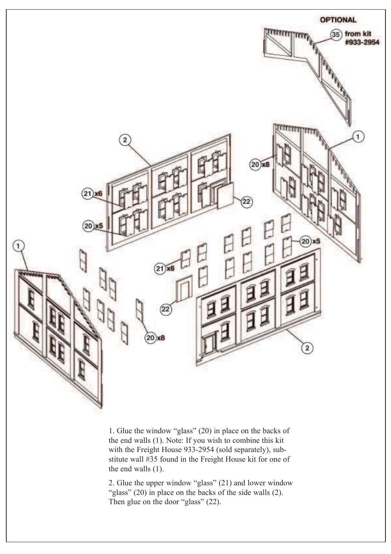

1. Glue the window "glass" (20) in place on the backs of the end walls (1). Note: If you wish to combine this kit with the Freight House 933-2954 (sold separately), substitute wall #35 found in the Freight House kit for one of the end walls (1).

2. Glue the upper window "glass" (21) and lower window "glass" (20) in place on the backs of the side walls (2). Then glue on the door "glass" (22).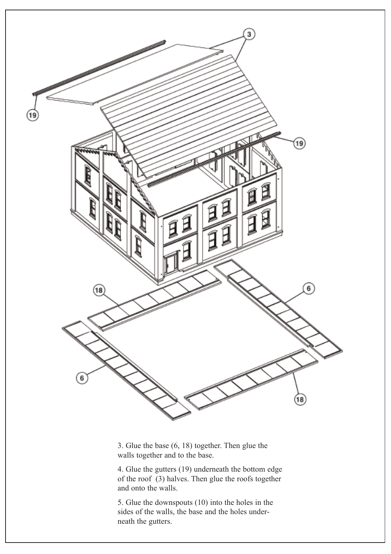

3. Glue the base (6, 18) together. Then glue the walls together and to the base.

4. Glue the gutters (19) underneath the bottom edge of the roof (3) halves. Then glue the roofs together and onto the walls.

5. Glue the downspouts (10) into the holes in the sides of the walls, the base and the holes underneath the gutters.